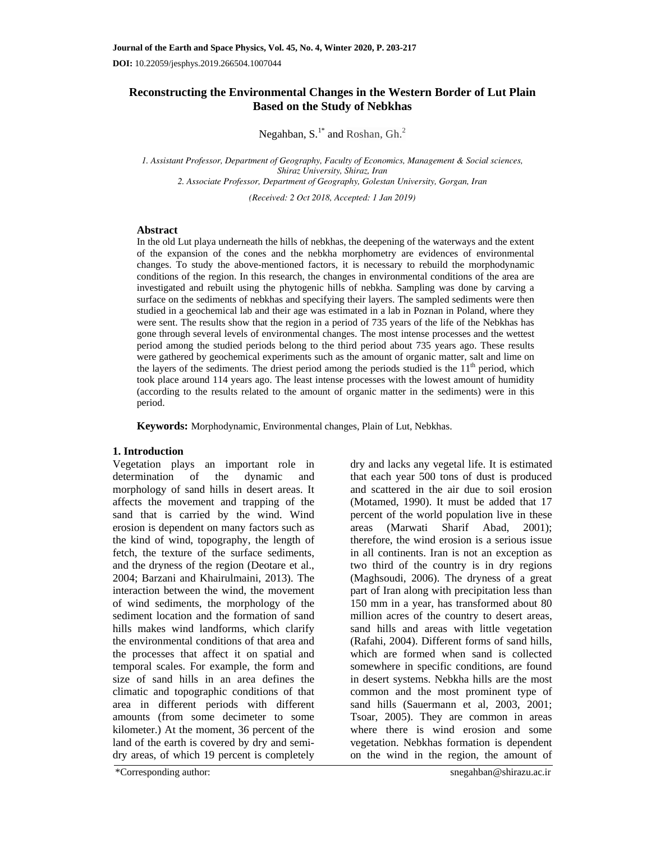# **Reconstructing the Environmental Changes in the Western Border of Lut Plain Based on the Study of Nebkhas**

Negahban,  $S^{1*}$  and Roshan,  $Gh^{2*}$ 

*1. Assistant Professor, Department of Geography, Faculty of Economics, Management & Social sciences, Shiraz University, Shiraz, Iran 2. Associate Professor, Department of Geography, Golestan University, Gorgan, Iran* 

*(Received: 2 Oct 2018, Accepted: 1 Jan 2019)* 

## **Abstract**

In the old Lut playa underneath the hills of nebkhas, the deepening of the waterways and the extent of the expansion of the cones and the nebkha morphometry are evidences of environmental changes. To study the above-mentioned factors, it is necessary to rebuild the morphodynamic conditions of the region. In this research, the changes in environmental conditions of the area are investigated and rebuilt using the phytogenic hills of nebkha. Sampling was done by carving a surface on the sediments of nebkhas and specifying their layers. The sampled sediments were then studied in a geochemical lab and their age was estimated in a lab in Poznan in Poland, where they were sent. The results show that the region in a period of 735 years of the life of the Nebkhas has gone through several levels of environmental changes. The most intense processes and the wettest period among the studied periods belong to the third period about 735 years ago. These results were gathered by geochemical experiments such as the amount of organic matter, salt and lime on the layers of the sediments. The driest period among the periods studied is the  $11<sup>th</sup>$  period, which took place around 114 years ago. The least intense processes with the lowest amount of humidity (according to the results related to the amount of organic matter in the sediments) were in this period.

**Keywords:** Morphodynamic, Environmental changes, Plain of Lut, Nebkhas.

## **1. Introduction**

Vegetation plays an important role in determination of the dynamic and morphology of sand hills in desert areas. It affects the movement and trapping of the sand that is carried by the wind. Wind erosion is dependent on many factors such as the kind of wind, topography, the length of fetch, the texture of the surface sediments, and the dryness of the region (Deotare et al., 2004; Barzani and Khairulmaini, 2013). The interaction between the wind, the movement of wind sediments, the morphology of the sediment location and the formation of sand hills makes wind landforms, which clarify the environmental conditions of that area and the processes that affect it on spatial and temporal scales. For example, the form and size of sand hills in an area defines the climatic and topographic conditions of that area in different periods with different amounts (from some decimeter to some kilometer.) At the moment, 36 percent of the land of the earth is covered by dry and semidry areas, of which 19 percent is completely dry and lacks any vegetal life. It is estimated that each year 500 tons of dust is produced and scattered in the air due to soil erosion (Motamed, 1990). It must be added that 17 percent of the world population live in these areas (Marwati Sharif Abad, 2001); therefore, the wind erosion is a serious issue in all continents. Iran is not an exception as two third of the country is in dry regions (Maghsoudi, 2006). The dryness of a great part of Iran along with precipitation less than 150 mm in a year, has transformed about 80 million acres of the country to desert areas, sand hills and areas with little vegetation (Rafahi, 2004). Different forms of sand hills, which are formed when sand is collected somewhere in specific conditions, are found in desert systems. Nebkha hills are the most common and the most prominent type of sand hills (Sauermann et al, 2003, 2001; Tsoar, 2005). They are common in areas where there is wind erosion and some vegetation. Nebkhas formation is dependent on the wind in the region, the amount of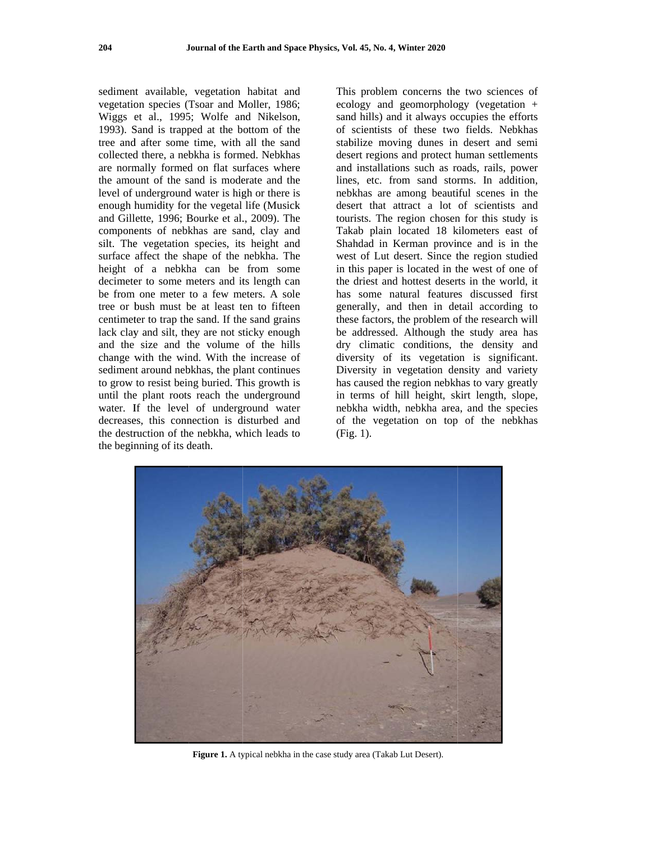sediment available, vegetation habitat and vegetation species (Tsoar and Moller, 1986; Wiggs et al., 1995; Wolfe and Nikelson, 1993). Sand is trapped at the bottom of the tree and after some time, with all the sand collected there, a nebkha is formed. Nebkhas are normally formed on flat surfaces where the amount of the sand is moderate and the level of underground water is high or there is enough humidity for the vegetal life (Musick and Gillette, 1996; Bourke et al., 2009). The components of nebkhas are sand, clay and silt. The vegetation species, its height and surface affect the shape of the nebkha. The height of a nebkha can be from some decimeter to some meters and its length can be from one meter to a few meters. A sole tree or bush must be at least ten to fifteen centimeter to trap the sand. If the sand grains lack clay and silt, they are not sticky enough and the size and the volume of the hills change with the wind. With the increase of sediment around nebkhas, the plant continues to grow to resist being buried. This growth is until the plant roots reach the underground water. If the level of underground water decreases, this connection is disturbed and the destruction of the nebkha, which leads to the beginning of its death.

This problem concerns the two sciences of ecology and geomorphology (vegetation  $+$ sand hills) and it always occupies the efforts of scientists of these two fields. Nebkhas stabilize moving dunes in desert and semi desert regions and protect human settlements and installations such as roads, rails, power lines, etc. from sand storms. In addition, nebkhas are among beautiful scenes in the desert that attract a lot of scientists and tourists. The region chosen for this study is Takab plain located 18 kilometers east of Shahdad in Kerman province and is in the west of Lut desert. Since the region studied in this paper is located in the west of one of the driest and hottest deserts in the world, it has some natural features discussed first generally, and then in detail according to these factors, the problem of the research will be addressed. Although the study area has dry climatic conditions, the density and diversity of its vegetation is significant. Diversity in vegetation density and variety has caused the region nebkhas to vary greatly in terms of hill height, skirt length, slope, nebkha width, nebkha area, and the species of the vegetation on top of the nebkhas  $(Fig. 1).$ 



Figure 1. A typical nebkha in the case study area (Takab Lut Desert).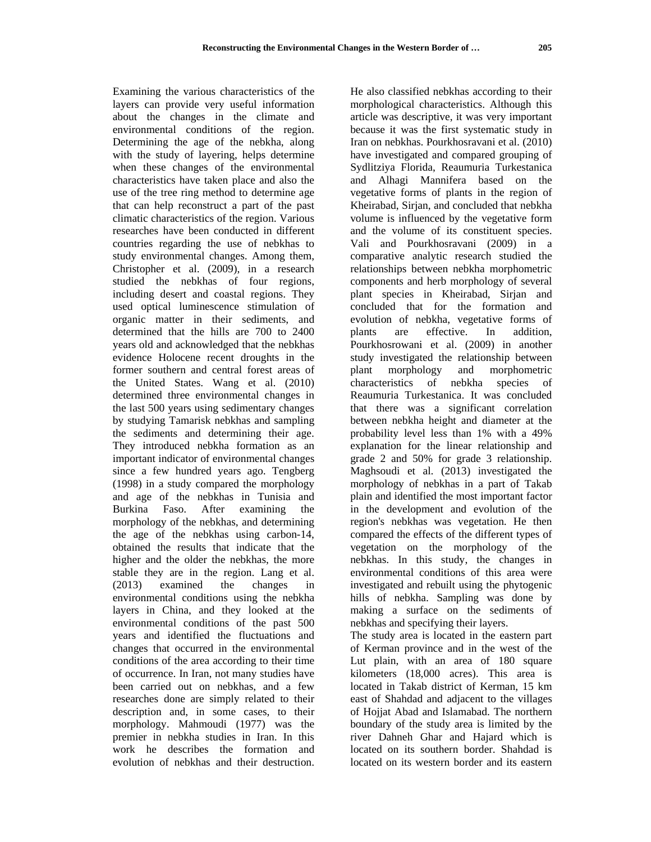Examining the various characteristics of the layers can provide very useful information about the changes in the climate and environmental conditions of the region. Determining the age of the nebkha, along with the study of layering, helps determine when these changes of the environmental characteristics have taken place and also the use of the tree ring method to determine age that can help reconstruct a part of the past climatic characteristics of the region. Various researches have been conducted in different countries regarding the use of nebkhas to study environmental changes. Among them, Christopher et al. (2009), in a research studied the nebkhas of four regions, including desert and coastal regions. They used optical luminescence stimulation of organic matter in their sediments, and determined that the hills are 700 to 2400 years old and acknowledged that the nebkhas evidence Holocene recent droughts in the former southern and central forest areas of the United States. Wang et al. (2010) determined three environmental changes in the last 500 years using sedimentary changes by studying Tamarisk nebkhas and sampling the sediments and determining their age. They introduced nebkha formation as an important indicator of environmental changes since a few hundred years ago. Tengberg (1998) in a study compared the morphology and age of the nebkhas in Tunisia and Burkina Faso. After examining the morphology of the nebkhas, and determining the age of the nebkhas using carbon-14, obtained the results that indicate that the higher and the older the nebkhas, the more stable they are in the region. Lang et al. (2013) examined the changes in environmental conditions using the nebkha layers in China, and they looked at the environmental conditions of the past 500 years and identified the fluctuations and changes that occurred in the environmental conditions of the area according to their time of occurrence. In Iran, not many studies have been carried out on nebkhas, and a few researches done are simply related to their description and, in some cases, to their morphology. Mahmoudi (1977) was the premier in nebkha studies in Iran. In this work he describes the formation and evolution of nebkhas and their destruction. He also classified nebkhas according to their morphological characteristics. Although this article was descriptive, it was very important because it was the first systematic study in Iran on nebkhas. Pourkhosravani et al. (2010) have investigated and compared grouping of Sydlitziya Florida, Reaumuria Turkestanica and Alhagi Mannifera based on the vegetative forms of plants in the region of Kheirabad, Sirjan, and concluded that nebkha volume is influenced by the vegetative form and the volume of its constituent species. Vali and Pourkhosravani (2009) in a comparative analytic research studied the relationships between nebkha morphometric components and herb morphology of several plant species in Kheirabad, Sirjan and concluded that for the formation and evolution of nebkha, vegetative forms of plants are effective. In addition, Pourkhosrowani et al. (2009) in another study investigated the relationship between plant morphology and morphometric characteristics of nebkha species of Reaumuria Turkestanica. It was concluded that there was a significant correlation between nebkha height and diameter at the probability level less than 1% with a 49% explanation for the linear relationship and grade 2 and 50% for grade 3 relationship. Maghsoudi et al. (2013) investigated the morphology of nebkhas in a part of Takab plain and identified the most important factor in the development and evolution of the region's nebkhas was vegetation. He then compared the effects of the different types of vegetation on the morphology of the nebkhas. In this study, the changes in environmental conditions of this area were investigated and rebuilt using the phytogenic hills of nebkha. Sampling was done by making a surface on the sediments of nebkhas and specifying their layers.

The study area is located in the eastern part of Kerman province and in the west of the Lut plain, with an area of 180 square kilometers (18,000 acres). This area is located in Takab district of Kerman, 15 km east of Shahdad and adjacent to the villages of Hojjat Abad and Islamabad. The northern boundary of the study area is limited by the river Dahneh Ghar and Hajard which is located on its southern border. Shahdad is located on its western border and its eastern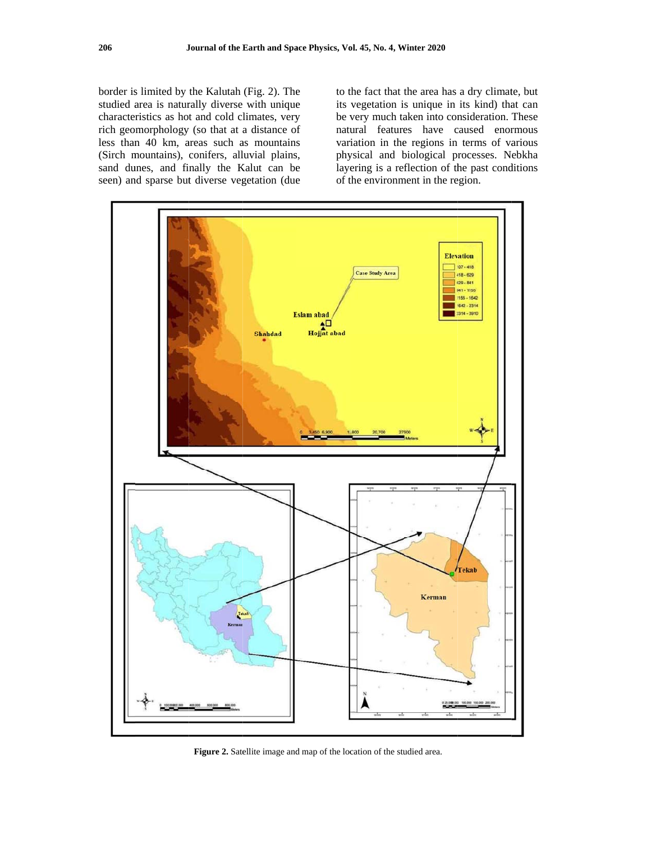border is limited by the Kalutah (Fig. 2). The studied area is naturally diverse with unique characteristics as hot and cold climates, very rich geomorphology (so that at a distance of less than 40 km, areas such as mountains (Sirch mountains), conifers, alluvial plains, sand dunes, and finally the Kalut can be seen) and sparse but diverse vegetation (due

to the fact that the area has a dry climate, but its vegetation is unique in its kind) that can be very much taken into consideration. These natural features have caused enormous variation in the regions in terms of various physical and biological processes. Nebkha layering is a reflection of the past conditions of the environment in the region.



Figure 2. Satellite image and map of the location of the studied area.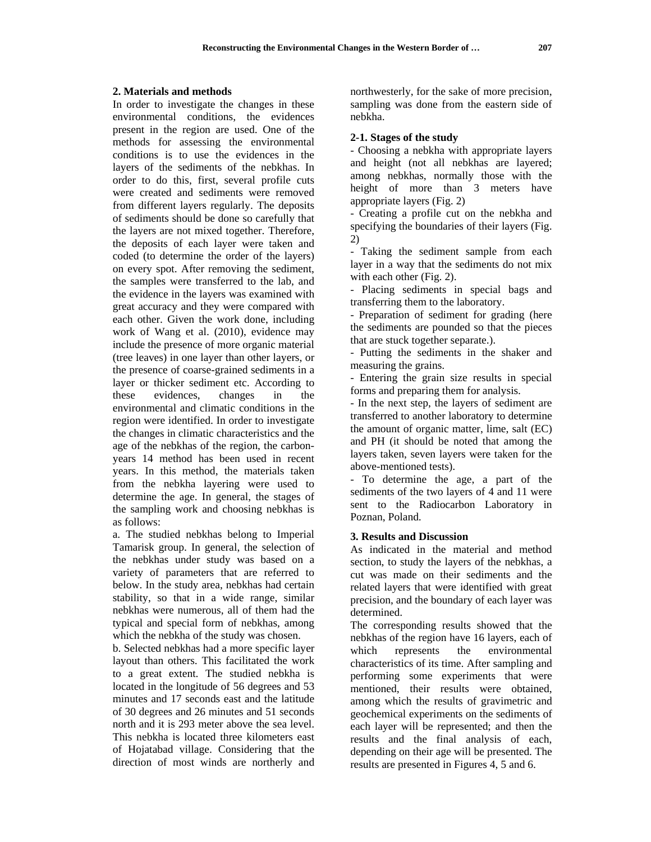### **2. Materials and methods**

In order to investigate the changes in these environmental conditions, the evidences present in the region are used. One of the methods for assessing the environmental conditions is to use the evidences in the layers of the sediments of the nebkhas. In order to do this, first, several profile cuts were created and sediments were removed from different layers regularly. The deposits of sediments should be done so carefully that the layers are not mixed together. Therefore, the deposits of each layer were taken and coded (to determine the order of the layers) on every spot. After removing the sediment, the samples were transferred to the lab, and the evidence in the layers was examined with great accuracy and they were compared with each other. Given the work done, including work of Wang et al. (2010), evidence may include the presence of more organic material (tree leaves) in one layer than other layers, or the presence of coarse-grained sediments in a layer or thicker sediment etc. According to these evidences, changes in the environmental and climatic conditions in the region were identified. In order to investigate the changes in climatic characteristics and the age of the nebkhas of the region, the carbonyears 14 method has been used in recent years. In this method, the materials taken from the nebkha layering were used to determine the age. In general, the stages of the sampling work and choosing nebkhas is as follows:

a. The studied nebkhas belong to Imperial Tamarisk group. In general, the selection of the nebkhas under study was based on a variety of parameters that are referred to below. In the study area, nebkhas had certain stability, so that in a wide range, similar nebkhas were numerous, all of them had the typical and special form of nebkhas, among which the nebkha of the study was chosen.

b. Selected nebkhas had a more specific layer layout than others. This facilitated the work to a great extent. The studied nebkha is located in the longitude of 56 degrees and 53 minutes and 17 seconds east and the latitude of 30 degrees and 26 minutes and 51 seconds north and it is 293 meter above the sea level. This nebkha is located three kilometers east of Hojatabad village. Considering that the direction of most winds are northerly and northwesterly, for the sake of more precision, sampling was done from the eastern side of nebkha.

### **2-1. Stages of the study**

- Choosing a nebkha with appropriate layers and height (not all nebkhas are layered; among nebkhas, normally those with the height of more than 3 meters have appropriate layers (Fig. 2)

- Creating a profile cut on the nebkha and specifying the boundaries of their layers (Fig. 2)

- Taking the sediment sample from each layer in a way that the sediments do not mix with each other (Fig. 2).

- Placing sediments in special bags and transferring them to the laboratory.

- Preparation of sediment for grading (here the sediments are pounded so that the pieces that are stuck together separate.).

- Putting the sediments in the shaker and measuring the grains.

- Entering the grain size results in special forms and preparing them for analysis.

- In the next step, the layers of sediment are transferred to another laboratory to determine the amount of organic matter, lime, salt (EC) and PH (it should be noted that among the layers taken, seven layers were taken for the above-mentioned tests).

- To determine the age, a part of the sediments of the two layers of 4 and 11 were sent to the Radiocarbon Laboratory in Poznan, Poland.

### **3. Results and Discussion**

As indicated in the material and method section, to study the layers of the nebkhas, a cut was made on their sediments and the related layers that were identified with great precision, and the boundary of each layer was determined.

The corresponding results showed that the nebkhas of the region have 16 layers, each of which represents the environmental characteristics of its time. After sampling and performing some experiments that were mentioned, their results were obtained, among which the results of gravimetric and geochemical experiments on the sediments of each layer will be represented; and then the results and the final analysis of each, depending on their age will be presented. The results are presented in Figures 4, 5 and 6.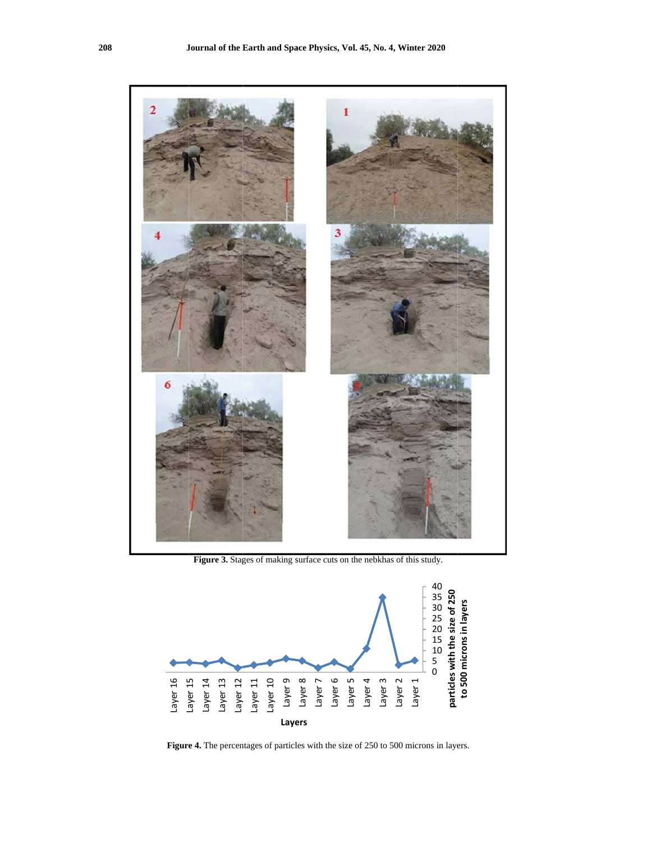

Figure 3. Stages of making surface cuts on the nebkhas of this study.



Figure 4. The percentages of particles with the size of 250 to 500 microns in layers.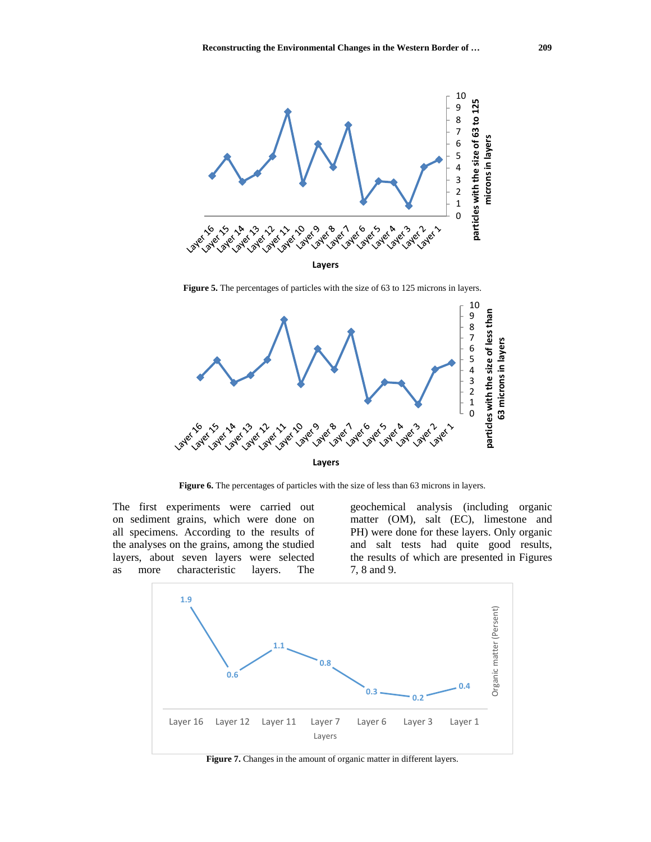

**Figure 5.** The percentages of particles with the size of 63 to 125 microns in layers.



Figure 6. The percentages of particles with the size of less than 63 microns in layers.

The first experiments were carried out on sediment grains, which were done on all specimens. According to the results of the analyses on the grains, among the studied layers, about seven layers were selected as more characteristic layers. The

geochemical analysis (including organic matter (OM), salt (EC), limestone and PH) were done for these layers. Only organic and salt tests had quite good results, the results of which are presented in Figures 7, 8 and 9.



**Figure 7.** Changes in the amount of organic matter in different layers.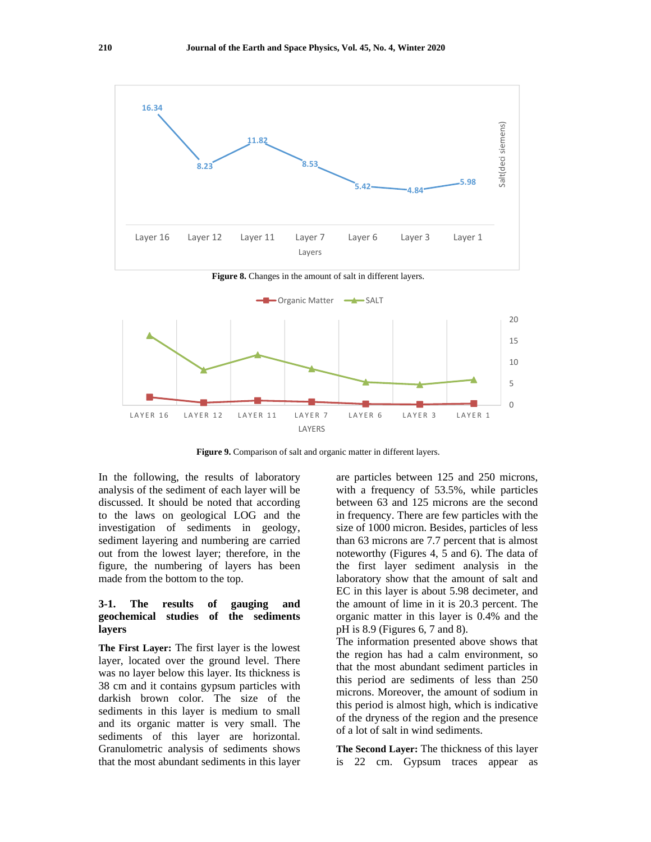

**Figure 9.** Comparison of salt and organic matter in different layers.

In the following, the results of laboratory analysis of the sediment of each layer will be discussed. It should be noted that according to the laws on geological LOG and the investigation of sediments in geology, sediment layering and numbering are carried out from the lowest layer; therefore, in the figure, the numbering of layers has been made from the bottom to the top.

# **3-1. The results of gauging and geochemical studies of the sediments layers**

**The First Layer:** The first layer is the lowest layer, located over the ground level. There was no layer below this layer. Its thickness is 38 cm and it contains gypsum particles with darkish brown color. The size of the sediments in this layer is medium to small and its organic matter is very small. The sediments of this layer are horizontal. Granulometric analysis of sediments shows that the most abundant sediments in this layer are particles between 125 and 250 microns, with a frequency of 53.5%, while particles between 63 and 125 microns are the second in frequency. There are few particles with the size of 1000 micron. Besides, particles of less than 63 microns are 7.7 percent that is almost noteworthy (Figures 4, 5 and 6). The data of the first layer sediment analysis in the laboratory show that the amount of salt and EC in this layer is about 5.98 decimeter, and the amount of lime in it is 20.3 percent. The organic matter in this layer is 0.4% and the pH is 8.9 (Figures 6, 7 and 8).

The information presented above shows that the region has had a calm environment, so that the most abundant sediment particles in this period are sediments of less than 250 microns. Moreover, the amount of sodium in this period is almost high, which is indicative of the dryness of the region and the presence of a lot of salt in wind sediments.

**The Second Layer:** The thickness of this layer is 22 cm. Gypsum traces appear as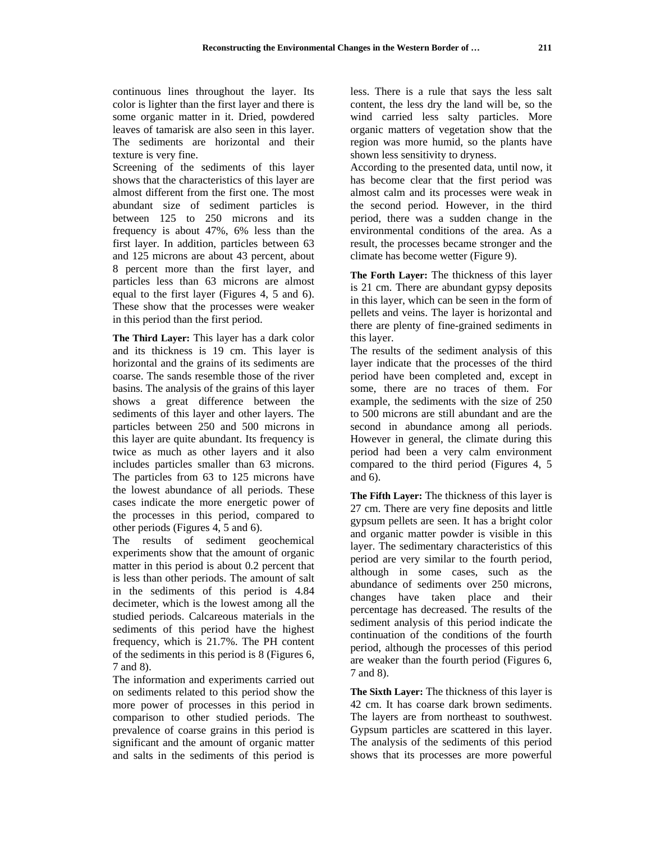continuous lines throughout the layer. Its color is lighter than the first layer and there is some organic matter in it. Dried, powdered leaves of tamarisk are also seen in this layer. The sediments are horizontal and their texture is very fine.

Screening of the sediments of this layer shows that the characteristics of this layer are almost different from the first one. The most abundant size of sediment particles is between 125 to 250 microns and its frequency is about 47%, 6% less than the first layer. In addition, particles between 63 and 125 microns are about 43 percent, about 8 percent more than the first layer, and particles less than 63 microns are almost equal to the first layer (Figures 4, 5 and 6). These show that the processes were weaker in this period than the first period.

**The Third Layer:** This layer has a dark color and its thickness is 19 cm. This layer is horizontal and the grains of its sediments are coarse. The sands resemble those of the river basins. The analysis of the grains of this layer shows a great difference between the sediments of this layer and other layers. The particles between 250 and 500 microns in this layer are quite abundant. Its frequency is twice as much as other layers and it also includes particles smaller than 63 microns. The particles from 63 to 125 microns have the lowest abundance of all periods. These cases indicate the more energetic power of the processes in this period, compared to other periods (Figures 4, 5 and 6).

The results of sediment geochemical experiments show that the amount of organic matter in this period is about 0.2 percent that is less than other periods. The amount of salt in the sediments of this period is 4.84 decimeter, which is the lowest among all the studied periods. Calcareous materials in the sediments of this period have the highest frequency, which is 21.7%. The PH content of the sediments in this period is 8 (Figures 6, 7 and 8).

The information and experiments carried out on sediments related to this period show the more power of processes in this period in comparison to other studied periods. The prevalence of coarse grains in this period is significant and the amount of organic matter and salts in the sediments of this period is less. There is a rule that says the less salt content, the less dry the land will be, so the wind carried less salty particles. More organic matters of vegetation show that the region was more humid, so the plants have shown less sensitivity to dryness.

According to the presented data, until now, it has become clear that the first period was almost calm and its processes were weak in the second period. However, in the third period, there was a sudden change in the environmental conditions of the area. As a result, the processes became stronger and the climate has become wetter (Figure 9).

**The Forth Layer:** The thickness of this layer is 21 cm. There are abundant gypsy deposits in this layer, which can be seen in the form of pellets and veins. The layer is horizontal and there are plenty of fine-grained sediments in this layer.

The results of the sediment analysis of this layer indicate that the processes of the third period have been completed and, except in some, there are no traces of them. For example, the sediments with the size of 250 to 500 microns are still abundant and are the second in abundance among all periods. However in general, the climate during this period had been a very calm environment compared to the third period (Figures 4, 5 and 6).

**The Fifth Layer:** The thickness of this layer is 27 cm. There are very fine deposits and little gypsum pellets are seen. It has a bright color and organic matter powder is visible in this layer. The sedimentary characteristics of this period are very similar to the fourth period, although in some cases, such as the abundance of sediments over 250 microns, changes have taken place and their percentage has decreased. The results of the sediment analysis of this period indicate the continuation of the conditions of the fourth period, although the processes of this period are weaker than the fourth period (Figures 6, 7 and 8).

**The Sixth Layer:** The thickness of this layer is 42 cm. It has coarse dark brown sediments. The layers are from northeast to southwest. Gypsum particles are scattered in this layer. The analysis of the sediments of this period shows that its processes are more powerful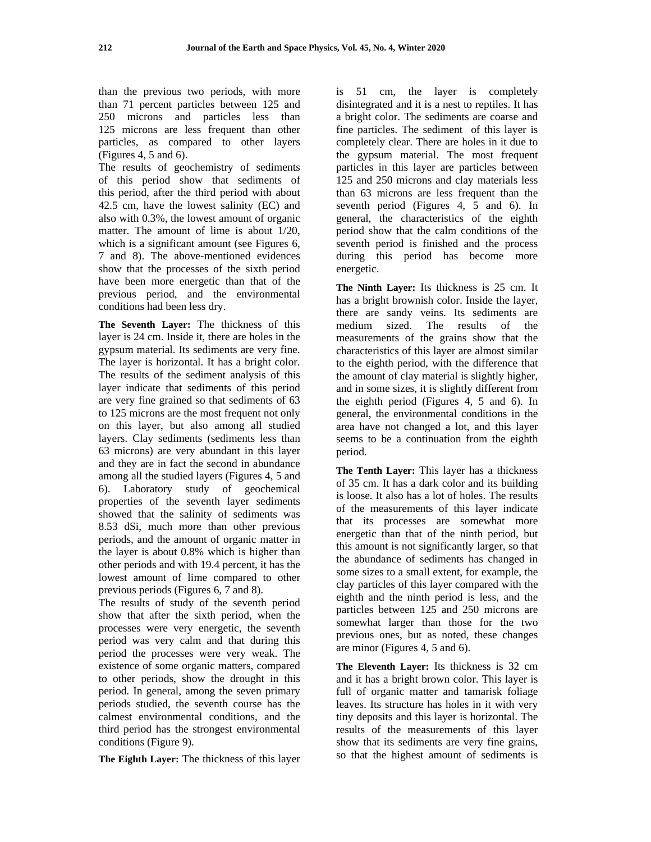than the previous two periods, with more than 71 percent particles between 125 and 250 microns and particles less than 125 microns are less frequent than other particles, as compared to other layers (Figures 4, 5 and 6).

The results of geochemistry of sediments of this period show that sediments of this period, after the third period with about 42.5 cm, have the lowest salinity (EC) and also with 0.3%, the lowest amount of organic matter. The amount of lime is about 1/20, which is a significant amount (see Figures 6, 7 and 8). The above-mentioned evidences show that the processes of the sixth period have been more energetic than that of the previous period, and the environmental conditions had been less dry.

**The Seventh Layer:** The thickness of this layer is 24 cm. Inside it, there are holes in the gypsum material. Its sediments are very fine. The layer is horizontal. It has a bright color. The results of the sediment analysis of this layer indicate that sediments of this period are very fine grained so that sediments of 63 to 125 microns are the most frequent not only on this layer, but also among all studied layers. Clay sediments (sediments less than 63 microns) are very abundant in this layer and they are in fact the second in abundance among all the studied layers (Figures 4, 5 and 6). Laboratory study of geochemical properties of the seventh layer sediments showed that the salinity of sediments was 8.53 dSi, much more than other previous periods, and the amount of organic matter in the layer is about 0.8% which is higher than other periods and with 19.4 percent, it has the lowest amount of lime compared to other previous periods (Figures 6, 7 and 8).

The results of study of the seventh period show that after the sixth period, when the processes were very energetic, the seventh period was very calm and that during this period the processes were very weak. The existence of some organic matters, compared to other periods, show the drought in this period. In general, among the seven primary periods studied, the seventh course has the calmest environmental conditions, and the third period has the strongest environmental conditions (Figure 9).

**The Eighth Layer:** The thickness of this layer

is 51 cm, the layer is completely disintegrated and it is a nest to reptiles. It has a bright color. The sediments are coarse and fine particles. The sediment of this layer is completely clear. There are holes in it due to the gypsum material. The most frequent particles in this layer are particles between 125 and 250 microns and clay materials less than 63 microns are less frequent than the seventh period (Figures 4, 5 and 6). In general, the characteristics of the eighth period show that the calm conditions of the seventh period is finished and the process during this period has become more energetic.

**The Ninth Layer:** Its thickness is 25 cm. It has a bright brownish color. Inside the layer, there are sandy veins. Its sediments are medium sized. The results of the measurements of the grains show that the characteristics of this layer are almost similar to the eighth period, with the difference that the amount of clay material is slightly higher, and in some sizes, it is slightly different from the eighth period (Figures 4, 5 and 6). In general, the environmental conditions in the area have not changed a lot, and this layer seems to be a continuation from the eighth period.

**The Tenth Layer:** This layer has a thickness of 35 cm. It has a dark color and its building is loose. It also has a lot of holes. The results of the measurements of this layer indicate that its processes are somewhat more energetic than that of the ninth period, but this amount is not significantly larger, so that the abundance of sediments has changed in some sizes to a small extent, for example, the clay particles of this layer compared with the eighth and the ninth period is less, and the particles between 125 and 250 microns are somewhat larger than those for the two previous ones, but as noted, these changes are minor (Figures 4, 5 and 6).

**The Eleventh Layer:** Its thickness is 32 cm and it has a bright brown color. This layer is full of organic matter and tamarisk foliage leaves. Its structure has holes in it with very tiny deposits and this layer is horizontal. The results of the measurements of this layer show that its sediments are very fine grains, so that the highest amount of sediments is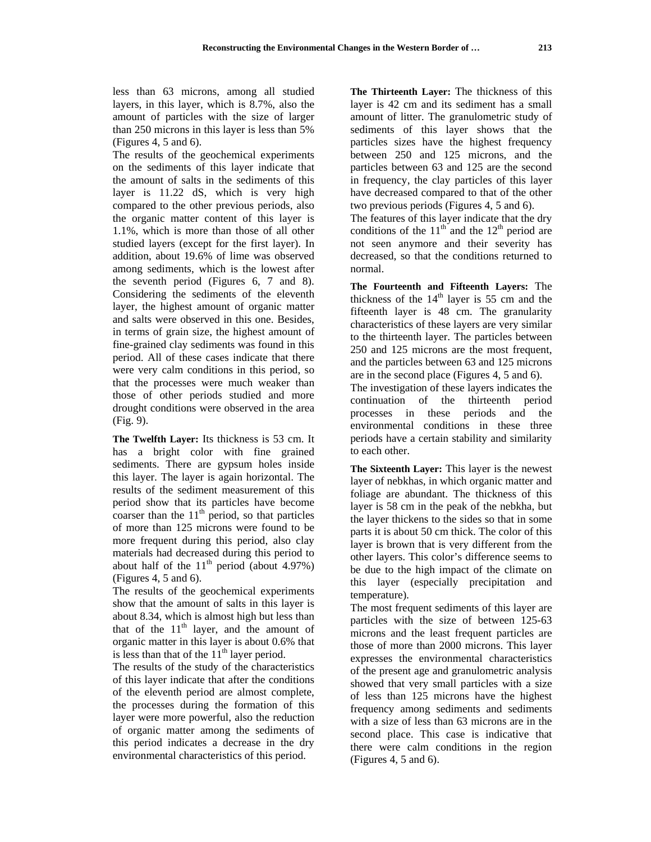less than 63 microns, among all studied layers, in this layer, which is 8.7%, also the amount of particles with the size of larger than 250 microns in this layer is less than 5% (Figures 4, 5 and 6).

The results of the geochemical experiments on the sediments of this layer indicate that the amount of salts in the sediments of this layer is 11.22 dS, which is very high compared to the other previous periods, also the organic matter content of this layer is 1.1%, which is more than those of all other studied layers (except for the first layer). In addition, about 19.6% of lime was observed among sediments, which is the lowest after the seventh period (Figures 6, 7 and 8). Considering the sediments of the eleventh layer, the highest amount of organic matter and salts were observed in this one. Besides, in terms of grain size, the highest amount of fine-grained clay sediments was found in this period. All of these cases indicate that there were very calm conditions in this period, so that the processes were much weaker than those of other periods studied and more drought conditions were observed in the area (Fig. 9).

**The Twelfth Layer:** Its thickness is 53 cm. It has a bright color with fine grained sediments. There are gypsum holes inside this layer. The layer is again horizontal. The results of the sediment measurement of this period show that its particles have become coarser than the  $11<sup>th</sup>$  period, so that particles of more than 125 microns were found to be more frequent during this period, also clay materials had decreased during this period to about half of the  $11<sup>th</sup>$  period (about 4.97%) (Figures 4, 5 and 6).

The results of the geochemical experiments show that the amount of salts in this layer is about 8.34, which is almost high but less than that of the  $11<sup>th</sup>$  layer, and the amount of organic matter in this layer is about 0.6% that is less than that of the  $11<sup>th</sup>$  layer period.

The results of the study of the characteristics of this layer indicate that after the conditions of the eleventh period are almost complete, the processes during the formation of this layer were more powerful, also the reduction of organic matter among the sediments of this period indicates a decrease in the dry environmental characteristics of this period.

**The Thirteenth Layer:** The thickness of this layer is 42 cm and its sediment has a small amount of litter. The granulometric study of sediments of this layer shows that the particles sizes have the highest frequency between 250 and 125 microns, and the particles between 63 and 125 are the second in frequency, the clay particles of this layer have decreased compared to that of the other two previous periods (Figures 4, 5 and 6).

The features of this layer indicate that the dry conditions of the  $11<sup>th</sup>$  and the  $12<sup>th</sup>$  period are not seen anymore and their severity has decreased, so that the conditions returned to normal.

**The Fourteenth and Fifteenth Layers:** The thickness of the  $14<sup>th</sup>$  layer is 55 cm and the fifteenth layer is 48 cm. The granularity characteristics of these layers are very similar to the thirteenth layer. The particles between 250 and 125 microns are the most frequent, and the particles between 63 and 125 microns are in the second place (Figures 4, 5 and 6).

The investigation of these layers indicates the continuation of the thirteenth period processes in these periods and the environmental conditions in these three periods have a certain stability and similarity to each other.

**The Sixteenth Layer:** This layer is the newest layer of nebkhas, in which organic matter and foliage are abundant. The thickness of this layer is 58 cm in the peak of the nebkha, but the layer thickens to the sides so that in some parts it is about 50 cm thick. The color of this layer is brown that is very different from the other layers. This color's difference seems to be due to the high impact of the climate on this layer (especially precipitation and temperature).

The most frequent sediments of this layer are particles with the size of between 125-63 microns and the least frequent particles are those of more than 2000 microns. This layer expresses the environmental characteristics of the present age and granulometric analysis showed that very small particles with a size of less than 125 microns have the highest frequency among sediments and sediments with a size of less than 63 microns are in the second place. This case is indicative that there were calm conditions in the region (Figures 4, 5 and 6).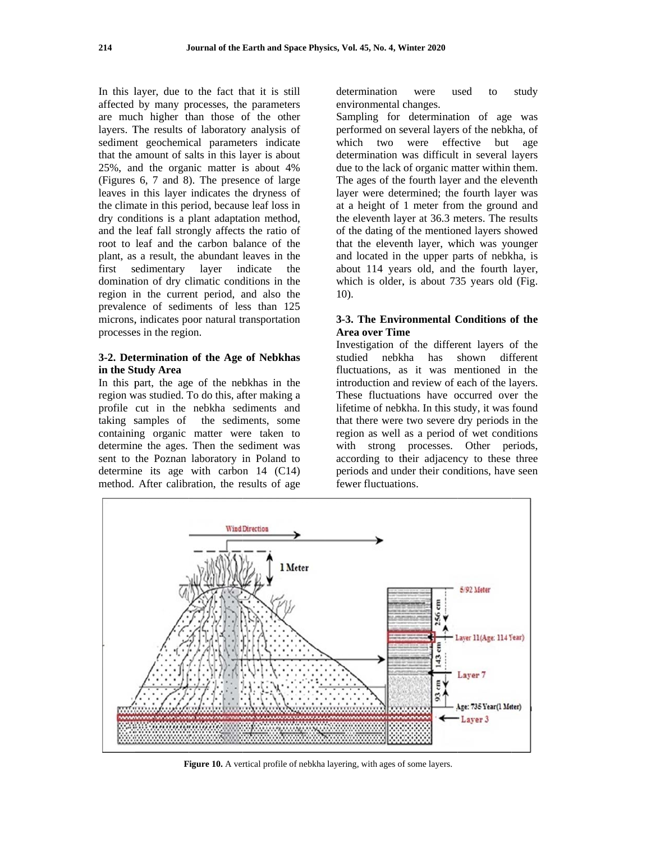In this layer, due to the fact that it is still affected by many processes, the parameters are much higher than those of the other layers. The results of laboratory analysis of sediment geochemical parameters indicate that the amount of salts in this laver is about 25%, and the organic matter is about 4% (Figures 6, 7 and 8). The presence of large leaves in this layer indicates the dryness of the climate in this period, because leaf loss in dry conditions is a plant adaptation method, and the leaf fall strongly affects the ratio of root to leaf and the carbon balance of the plant, as a result, the abundant leaves in the first sedimentary layer indicate the domination of dry climatic conditions in the region in the current period, and also the prevalence of sediments of less than 125 microns, indicates poor natural transportation processes in the region.

## 3-2. Determination of the Age of Nebkhas in the Study Area

In this part, the age of the nebkhas in the region was studied. To do this, after making a profile cut in the nebkha sediments and taking samples of the sediments, some containing organic matter were taken to determine the ages. Then the sediment was sent to the Poznan laboratory in Poland to determine its age with carbon  $14$  (C14) method. After calibration, the results of age

determination were used study to environmental changes.

Sampling for determination of age was performed on several layers of the nebkha, of which two were effective but age determination was difficult in several lavers due to the lack of organic matter within them. The ages of the fourth layer and the eleventh layer were determined; the fourth layer was at a height of 1 meter from the ground and the eleventh layer at 36.3 meters. The results of the dating of the mentioned layers showed that the eleventh layer, which was younger and located in the upper parts of nebkha, is about 114 years old, and the fourth layer, which is older, is about 735 years old (Fig.  $10$ ).

## 3-3. The Environmental Conditions of the **Area over Time**

Investigation of the different layers of the studied nebkha has shown different fluctuations, as it was mentioned in the introduction and review of each of the layers. These fluctuations have occurred over the lifetime of nebkha. In this study, it was found that there were two severe dry periods in the region as well as a period of wet conditions with strong processes. Other periods, according to their adjacency to these three periods and under their conditions, have seen fewer fluctuations



Figure 10. A vertical profile of nebkha layering, with ages of some layers.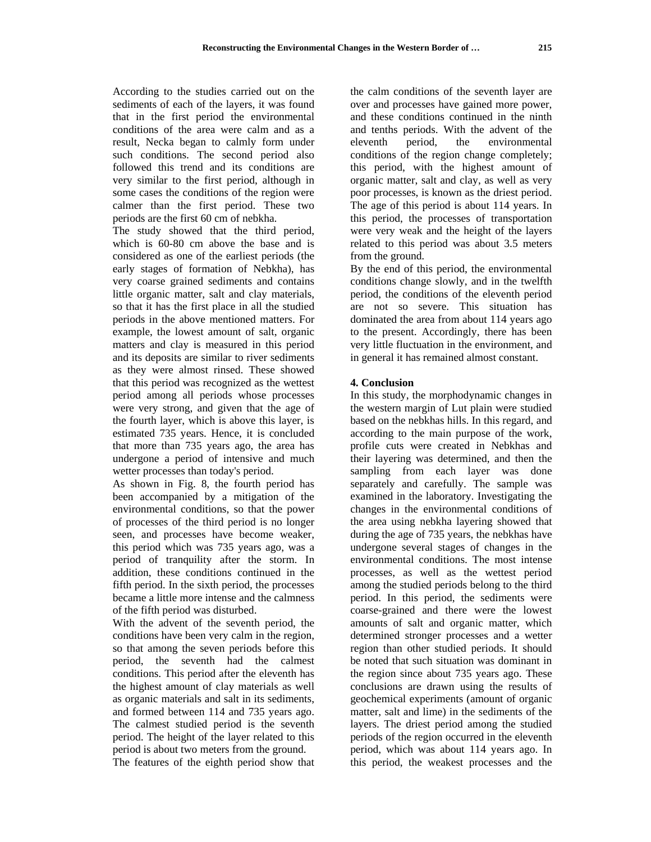According to the studies carried out on the sediments of each of the layers, it was found that in the first period the environmental conditions of the area were calm and as a result, Necka began to calmly form under such conditions. The second period also followed this trend and its conditions are very similar to the first period, although in some cases the conditions of the region were calmer than the first period. These two periods are the first 60 cm of nebkha.

The study showed that the third period, which is 60-80 cm above the base and is considered as one of the earliest periods (the early stages of formation of Nebkha), has very coarse grained sediments and contains little organic matter, salt and clay materials, so that it has the first place in all the studied periods in the above mentioned matters. For example, the lowest amount of salt, organic matters and clay is measured in this period and its deposits are similar to river sediments as they were almost rinsed. These showed that this period was recognized as the wettest period among all periods whose processes were very strong, and given that the age of the fourth layer, which is above this layer, is estimated 735 years. Hence, it is concluded that more than 735 years ago, the area has undergone a period of intensive and much wetter processes than today's period.

As shown in Fig. 8, the fourth period has been accompanied by a mitigation of the environmental conditions, so that the power of processes of the third period is no longer seen, and processes have become weaker, this period which was 735 years ago, was a period of tranquility after the storm. In addition, these conditions continued in the fifth period. In the sixth period, the processes became a little more intense and the calmness of the fifth period was disturbed.

With the advent of the seventh period, the conditions have been very calm in the region, so that among the seven periods before this period, the seventh had the calmest conditions. This period after the eleventh has the highest amount of clay materials as well as organic materials and salt in its sediments, and formed between 114 and 735 years ago. The calmest studied period is the seventh period. The height of the layer related to this period is about two meters from the ground.

The features of the eighth period show that

the calm conditions of the seventh layer are over and processes have gained more power, and these conditions continued in the ninth and tenths periods. With the advent of the eleventh period, the environmental conditions of the region change completely; this period, with the highest amount of organic matter, salt and clay, as well as very poor processes, is known as the driest period. The age of this period is about 114 years. In this period, the processes of transportation were very weak and the height of the layers related to this period was about 3.5 meters from the ground.

By the end of this period, the environmental conditions change slowly, and in the twelfth period, the conditions of the eleventh period are not so severe. This situation has dominated the area from about 114 years ago to the present. Accordingly, there has been very little fluctuation in the environment, and in general it has remained almost constant.

### **4. Conclusion**

In this study, the morphodynamic changes in the western margin of Lut plain were studied based on the nebkhas hills. In this regard, and according to the main purpose of the work, profile cuts were created in Nebkhas and their layering was determined, and then the sampling from each layer was done separately and carefully. The sample was examined in the laboratory. Investigating the changes in the environmental conditions of the area using nebkha layering showed that during the age of 735 years, the nebkhas have undergone several stages of changes in the environmental conditions. The most intense processes, as well as the wettest period among the studied periods belong to the third period. In this period, the sediments were coarse-grained and there were the lowest amounts of salt and organic matter, which determined stronger processes and a wetter region than other studied periods. It should be noted that such situation was dominant in the region since about 735 years ago. These conclusions are drawn using the results of geochemical experiments (amount of organic matter, salt and lime) in the sediments of the layers. The driest period among the studied periods of the region occurred in the eleventh period, which was about 114 years ago. In this period, the weakest processes and the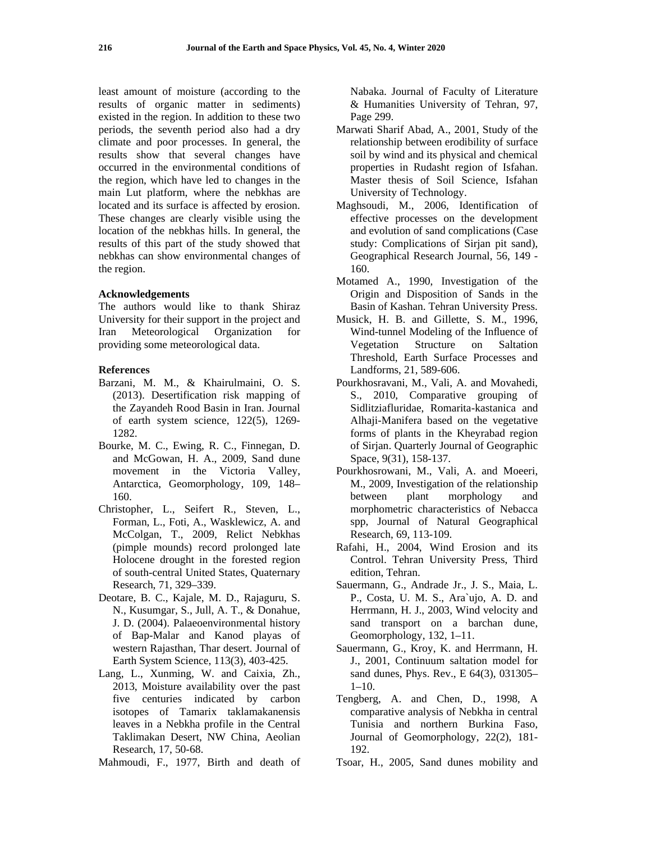least amount of moisture (according to the results of organic matter in sediments) existed in the region. In addition to these two periods, the seventh period also had a dry climate and poor processes. In general, the results show that several changes have occurred in the environmental conditions of the region, which have led to changes in the main Lut platform, where the nebkhas are located and its surface is affected by erosion. These changes are clearly visible using the location of the nebkhas hills. In general, the results of this part of the study showed that nebkhas can show environmental changes of the region.

### **Acknowledgements**

The authors would like to thank Shiraz University for their support in the project and Iran Meteorological Organization for providing some meteorological data.

### **References**

- Barzani, M. M., & Khairulmaini, O. S. (2013). Desertification risk mapping of the Zayandeh Rood Basin in Iran. Journal of earth system science, 122(5), 1269- 1282.
- Bourke, M. C., Ewing, R. C., Finnegan, D. and McGowan, H. A., 2009, Sand dune movement in the Victoria Valley, Antarctica, Geomorphology, 109, 148– 160.
- Christopher, L., Seifert R., Steven, L., Forman, L., Foti, A., Wasklewicz, A. and McColgan, T., 2009, Relict Nebkhas (pimple mounds) record prolonged late Holocene drought in the forested region of south-central United States, Quaternary Research, 71, 329–339.
- Deotare, B. C., Kajale, M. D., Rajaguru, S. N., Kusumgar, S., Jull, A. T., & Donahue, J. D. (2004). Palaeoenvironmental history of Bap-Malar and Kanod playas of western Rajasthan, Thar desert. Journal of Earth System Science, 113(3), 403-425.
- Lang, L., Xunming, W. and Caixia, Zh., 2013, Moisture availability over the past five centuries indicated by carbon isotopes of Tamarix taklamakanensis leaves in a Nebkha profile in the Central Taklimakan Desert, NW China, Aeolian Research, 17, 50-68.
- Mahmoudi, F., 1977, Birth and death of

Nabaka. Journal of Faculty of Literature & Humanities University of Tehran, 97, Page 299.

- Marwati Sharif Abad, A., 2001, Study of the relationship between erodibility of surface soil by wind and its physical and chemical properties in Rudasht region of Isfahan. Master thesis of Soil Science, Isfahan University of Technology.
- Maghsoudi, M., 2006, Identification of effective processes on the development and evolution of sand complications (Case study: Complications of Sirjan pit sand), Geographical Research Journal, 56, 149 - 160.
- Motamed A., 1990, Investigation of the Origin and Disposition of Sands in the Basin of Kashan. Tehran University Press.
- Musick, H. B. and Gillette, S. M., 1996, Wind-tunnel Modeling of the Influence of Vegetation Structure on Saltation Threshold, Earth Surface Processes and Landforms, 21, 589-606.
- Pourkhosravani, M., Vali, A. and Movahedi, S., 2010, Comparative grouping of Sidlitziafluridae, Romarita-kastanica and Alhaji-Manifera based on the vegetative forms of plants in the Kheyrabad region of Sirjan. Quarterly Journal of Geographic Space, 9(31), 158-137.
- Pourkhosrowani, M., Vali, A. and Moeeri, M., 2009, Investigation of the relationship between plant morphology and morphometric characteristics of Nebacca spp, Journal of Natural Geographical Research, 69, 113-109.
- Rafahi, H., 2004, Wind Erosion and its Control. Tehran University Press, Third edition, Tehran.
- Sauermann, G., Andrade Jr., J. S., Maia, L. P., Costa, U. M. S., Ara`ujo, A. D. and Herrmann, H. J., 2003, Wind velocity and sand transport on a barchan dune, Geomorphology, 132, 1–11.
- Sauermann, G., Kroy, K. and Herrmann, H. J., 2001, Continuum saltation model for sand dunes, Phys. Rev., E 64(3), 031305–  $1-10.$
- Tengberg, A. and Chen, D., 1998, A comparative analysis of Nebkha in central Tunisia and northern Burkina Faso, Journal of Geomorphology, 22(2), 181- 192.
- Tsoar, H., 2005, Sand dunes mobility and